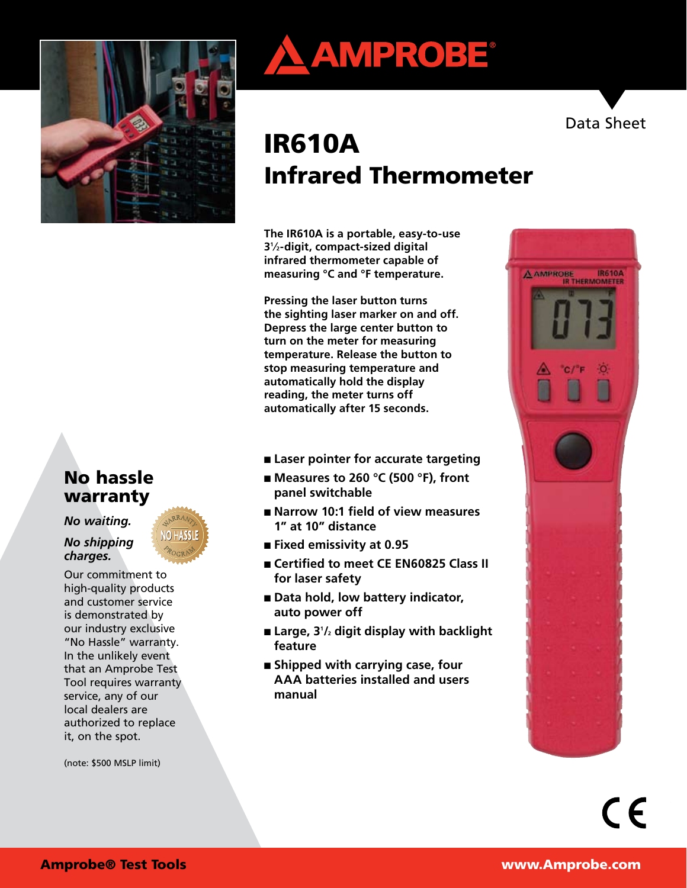

# No hassle warranty

*No waiting.* 

*No shipping charges.*

Our commitment to high-quality products and customer service is demonstrated by our industry exclusive "No Hassle" warranty. In the unlikely event that an Amprobe Test Tool requires warranty service, any of our local dealers are authorized to replace it, on the spot.

(note: \$500 MSLP limit)



# IR610A Infrared Thermometer

**The IR610A is a portable, easy-to-use 31 ⁄2-digit, compact-sized digital infrared thermometer capable of measuring °C and °F temperature.**

**Pressing the laser button turns the sighting laser marker on and off. Depress the large center button to turn on the meter for measuring temperature. Release the button to stop measuring temperature and automatically hold the display reading, the meter turns off automatically after 15 seconds.**

- Laser pointer for accurate targeting
- **Measures to 260 °C (500 °F)**, front **panel switchable**
- **Narrow 10:1 field of view measures 1" at 10" distance**
- **Fixed emissivity at 0.95**
- Certified to meet CE EN60825 Class II **for laser safety**
- **Data hold, low battery indicator, auto power off**
- **Large, 31 /2 digit display with backlight feature**
- **Shipped with carrying case, four AAA batteries installed and users manual**



Data Sheet